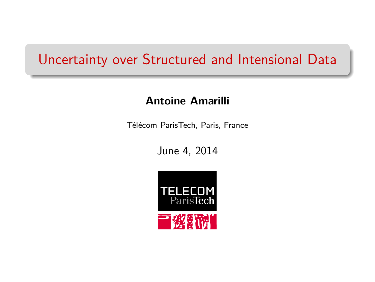#### Uncertainty over Structured and Intensional Data

#### **Antoine Amarilli**

Télécom ParisTech, Paris, France

June 4, 2014

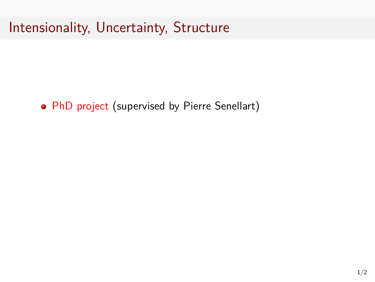• PhD project (supervised by Pierre Senellart)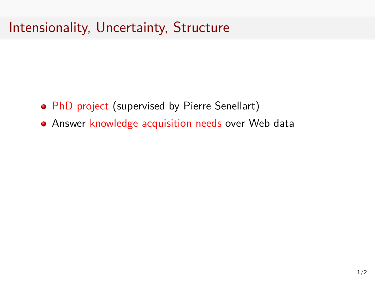- PhD project (supervised by Pierre Senellart)
- Answer knowledge acquisition needs over Web data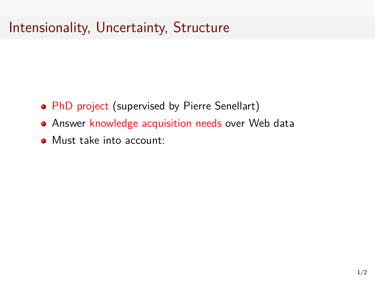- PhD project (supervised by Pierre Senellart)
- **Answer knowledge acquisition needs over Web data**
- Must take into account: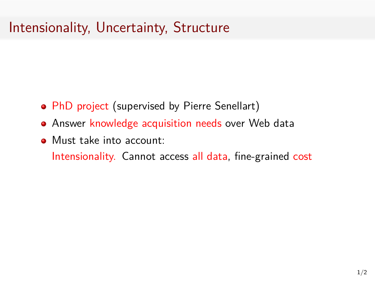- PhD project (supervised by Pierre Senellart)
- **Answer knowledge acquisition needs over Web data**
- **Must take into account:**

Intensionality. Cannot access all data, fine-grained cost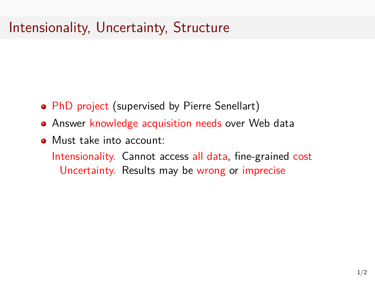- PhD project (supervised by Pierre Senellart)
- **Answer knowledge acquisition needs over Web data**
- **Must take into account:**

Intensionality. Cannot access all data, fine-grained cost Uncertainty. Results may be wrong or imprecise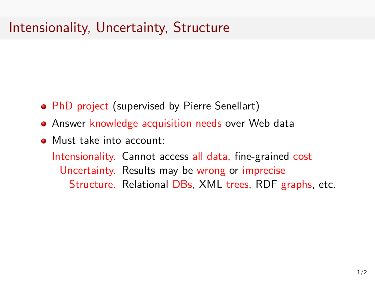- PhD project (supervised by Pierre Senellart)
- **Answer knowledge acquisition needs over Web data**
- **Must take into account:**

Intensionality. Cannot access all data, fine-grained cost Uncertainty. Results may be wrong or imprecise Structure. Relational DBs, XML trees, RDF graphs, etc.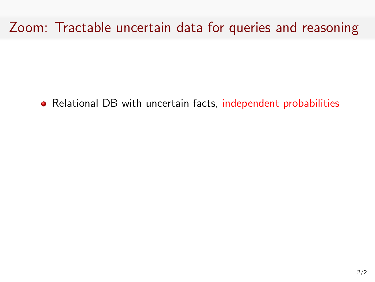Relational DB with uncertain facts, independent probabilities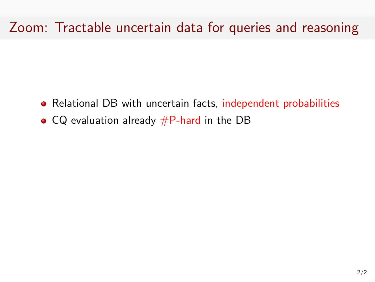- Relational DB with uncertain facts, independent probabilities
- $\bullet$  CQ evaluation already  $\#P$ -hard in the DB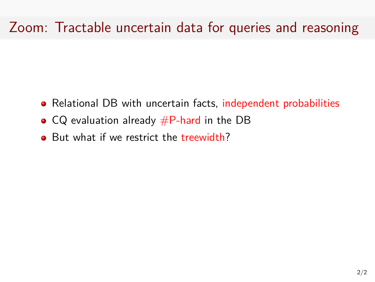- Relational DB with uncertain facts, independent probabilities
- $CQ$  evaluation already  $\#P$ -hard in the DB
- But what if we restrict the treewidth?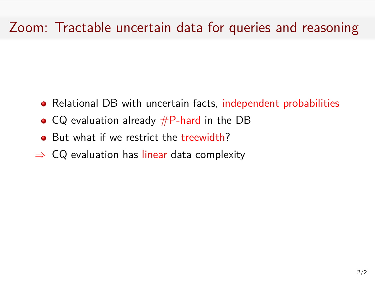- Relational DB with uncertain facts, independent probabilities
- $CQ$  evaluation already  $\#P$ -hard in the DB
- But what if we restrict the treewidth?
- *⇒* CQ evaluation has linear data complexity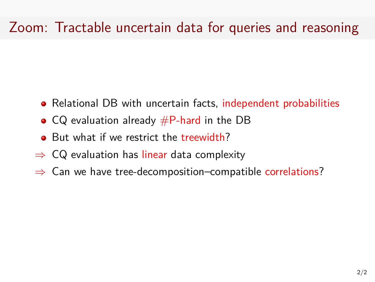- Relational DB with uncertain facts, independent probabilities
- $CQ$  evaluation already  $\#P$ -hard in the DB
- But what if we restrict the treewidth?
- *⇒* CQ evaluation has linear data complexity
- *⇒* Can we have tree-decomposition–compatible correlations?